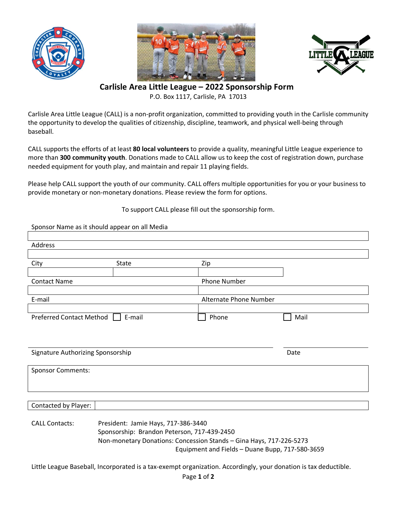





**Carlisle Area Little League – 2022 Sponsorship Form**

P.O. Box 1117, Carlisle, PA 17013

Carlisle Area Little League (CALL) is a non-profit organization, committed to providing youth in the Carlisle community the opportunity to develop the qualities of citizenship, discipline, teamwork, and physical well-being through baseball.

CALL supports the efforts of at least **80 local volunteers** to provide a quality, meaningful Little League experience to more than **300 community youth**. Donations made to CALL allow us to keep the cost of registration down, purchase needed equipment for youth play, and maintain and repair 11 playing fields.

Please help CALL support the youth of our community. CALL offers multiple opportunities for you or your business to provide monetary or non-monetary donations. Please review the form for options.

## To support CALL please fill out the sponsorship form.

|                                                                                                                        | Sponsor Name as it should appear on all Media |                        |      |
|------------------------------------------------------------------------------------------------------------------------|-----------------------------------------------|------------------------|------|
|                                                                                                                        |                                               |                        |      |
| Address                                                                                                                |                                               |                        |      |
|                                                                                                                        |                                               |                        |      |
| City                                                                                                                   | State                                         | Zip                    |      |
|                                                                                                                        |                                               |                        |      |
| <b>Contact Name</b>                                                                                                    |                                               | <b>Phone Number</b>    |      |
| E-mail                                                                                                                 |                                               | Alternate Phone Number |      |
|                                                                                                                        |                                               |                        |      |
| <b>Preferred Contact Method</b>                                                                                        | E-mail                                        | Phone                  | Mail |
|                                                                                                                        |                                               |                        |      |
|                                                                                                                        |                                               |                        |      |
|                                                                                                                        |                                               |                        |      |
| Signature Authorizing Sponsorship                                                                                      |                                               |                        | Date |
|                                                                                                                        |                                               |                        |      |
| <b>Sponsor Comments:</b>                                                                                               |                                               |                        |      |
|                                                                                                                        |                                               |                        |      |
|                                                                                                                        |                                               |                        |      |
| Contacted by Player:                                                                                                   |                                               |                        |      |
|                                                                                                                        |                                               |                        |      |
| <b>CALL Contacts:</b>                                                                                                  | President: Jamie Hays, 717-386-3440           |                        |      |
|                                                                                                                        | Sponsorship: Brandon Peterson, 717-439-2450   |                        |      |
| Non-monetary Donations: Concession Stands - Gina Hays, 717-226-5273<br>Equipment and Fields - Duane Bupp, 717-580-3659 |                                               |                        |      |
|                                                                                                                        |                                               |                        |      |

Little League Baseball, Incorporated is a tax-exempt organization. Accordingly, your donation is tax deductible.